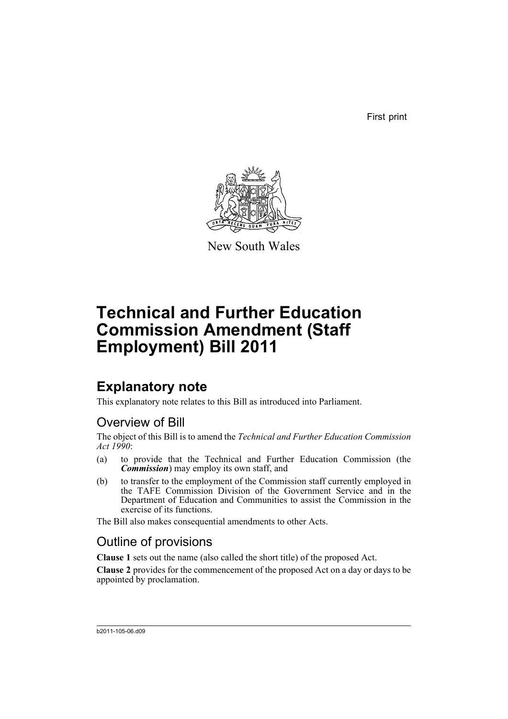First print



New South Wales

# **Technical and Further Education Commission Amendment (Staff Employment) Bill 2011**

# **Explanatory note**

This explanatory note relates to this Bill as introduced into Parliament.

## Overview of Bill

The object of this Bill is to amend the *Technical and Further Education Commission Act 1990*:

- (a) to provide that the Technical and Further Education Commission (the *Commission*) may employ its own staff, and
- (b) to transfer to the employment of the Commission staff currently employed in the TAFE Commission Division of the Government Service and in the Department of Education and Communities to assist the Commission in the exercise of its functions.

The Bill also makes consequential amendments to other Acts.

## Outline of provisions

**Clause 1** sets out the name (also called the short title) of the proposed Act.

**Clause 2** provides for the commencement of the proposed Act on a day or days to be appointed by proclamation.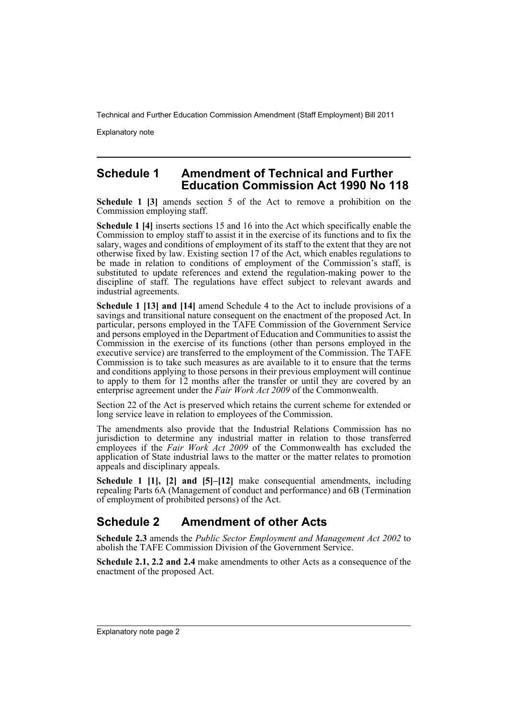Explanatory note

### **Schedule 1 Amendment of Technical and Further Education Commission Act 1990 No 118**

**Schedule 1 [3]** amends section 5 of the Act to remove a prohibition on the Commission employing staff.

**Schedule 1 [4]** inserts sections 15 and 16 into the Act which specifically enable the Commission to employ staff to assist it in the exercise of its functions and to fix the salary, wages and conditions of employment of its staff to the extent that they are not otherwise fixed by law. Existing section 17 of the Act, which enables regulations to be made in relation to conditions of employment of the Commission's staff, is substituted to update references and extend the regulation-making power to the discipline of staff. The regulations have effect subject to relevant awards and industrial agreements.

**Schedule 1 [13] and [14]** amend Schedule 4 to the Act to include provisions of a savings and transitional nature consequent on the enactment of the proposed Act. In particular, persons employed in the TAFE Commission of the Government Service and persons employed in the Department of Education and Communities to assist the Commission in the exercise of its functions (other than persons employed in the executive service) are transferred to the employment of the Commission. The TAFE Commission is to take such measures as are available to it to ensure that the terms and conditions applying to those persons in their previous employment will continue to apply to them for 12 months after the transfer or until they are covered by an enterprise agreement under the *Fair Work Act 2009* of the Commonwealth.

Section 22 of the Act is preserved which retains the current scheme for extended or long service leave in relation to employees of the Commission.

The amendments also provide that the Industrial Relations Commission has no jurisdiction to determine any industrial matter in relation to those transferred employees if the *Fair Work Act 2009* of the Commonwealth has excluded the application of State industrial laws to the matter or the matter relates to promotion appeals and disciplinary appeals.

**Schedule 1 [1], [2] and [5]–[12]** make consequential amendments, including repealing Parts 6A (Management of conduct and performance) and 6B (Termination of employment of prohibited persons) of the Act.

### **Schedule 2 Amendment of other Acts**

**Schedule 2.3** amends the *Public Sector Employment and Management Act 2002* to abolish the TAFE Commission Division of the Government Service.

**Schedule 2.1, 2.2 and 2.4** make amendments to other Acts as a consequence of the enactment of the proposed Act.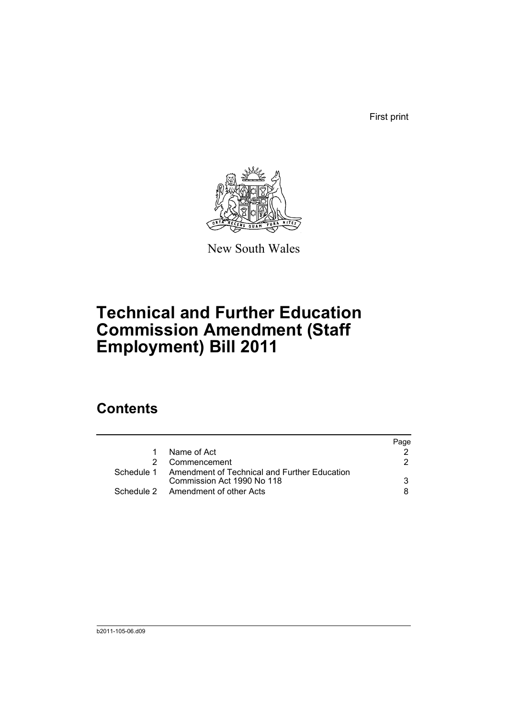First print



New South Wales

# **Technical and Further Education Commission Amendment (Staff Employment) Bill 2011**

# **Contents**

|                                                         | Page |
|---------------------------------------------------------|------|
| Name of Act                                             |      |
| Commencement                                            | 2.   |
| Schedule 1 Amendment of Technical and Further Education |      |
| Commission Act 1990 No 118                              | 3    |
| Schedule 2 Amendment of other Acts                      | 8    |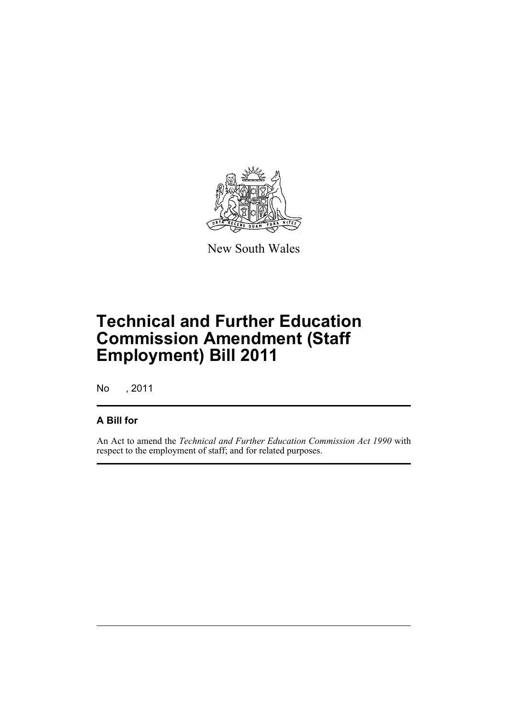

New South Wales

# **Technical and Further Education Commission Amendment (Staff Employment) Bill 2011**

No , 2011

### **A Bill for**

An Act to amend the *Technical and Further Education Commission Act 1990* with respect to the employment of staff; and for related purposes.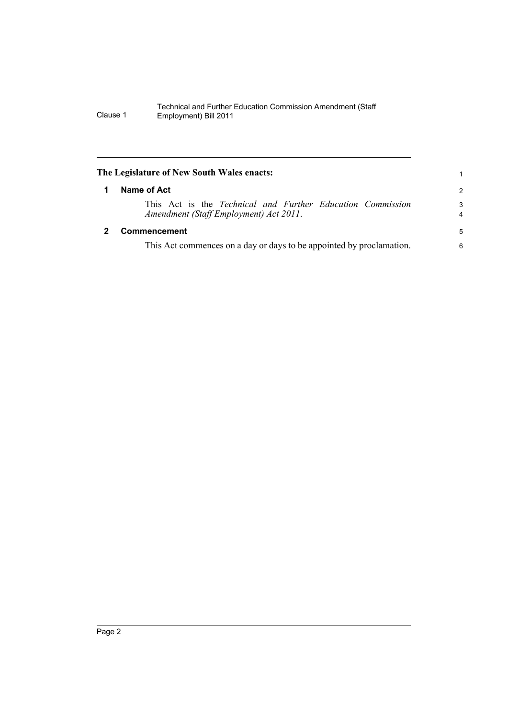<span id="page-5-1"></span><span id="page-5-0"></span>

| The Legislature of New South Wales enacts: |                                                                                                      |                     |  |
|--------------------------------------------|------------------------------------------------------------------------------------------------------|---------------------|--|
| 1                                          | Name of Act                                                                                          | 2                   |  |
|                                            | This Act is the Technical and Further Education Commission<br>Amendment (Staff Employment) Act 2011. | 3<br>$\overline{4}$ |  |
|                                            | Commencement                                                                                         | 5                   |  |
|                                            | This Act commences on a day or days to be appointed by proclamation.                                 | 6                   |  |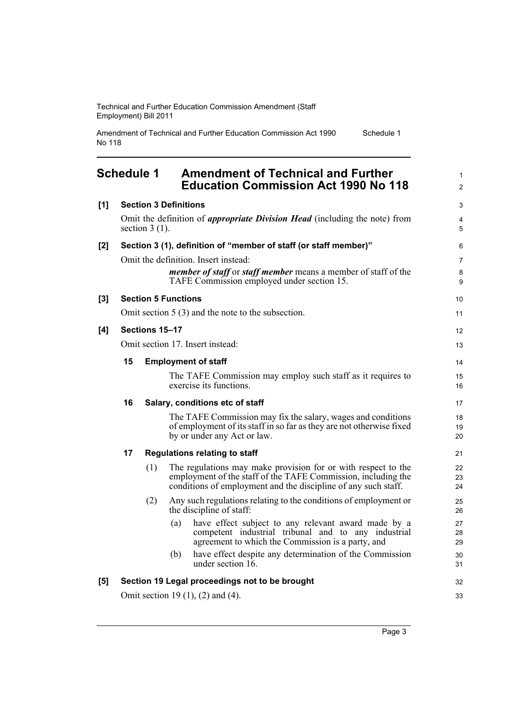Amendment of Technical and Further Education Commission Act 1990 No 118 Schedule 1

### <span id="page-6-0"></span>**Schedule 1 Amendment of Technical and Further Education Commission Act 1990 No 118**

| [1]   |    |                                  | <b>Section 3 Definitions</b>              |                                                                                                                                                                                                  | 3                            |
|-------|----|----------------------------------|-------------------------------------------|--------------------------------------------------------------------------------------------------------------------------------------------------------------------------------------------------|------------------------------|
|       |    | section $3(1)$ .                 |                                           | Omit the definition of <i>appropriate Division Head</i> (including the note) from                                                                                                                | $\overline{4}$<br>$\sqrt{5}$ |
| $[2]$ |    |                                  |                                           | Section 3 (1), definition of "member of staff (or staff member)"                                                                                                                                 | 6                            |
|       |    |                                  |                                           | Omit the definition. Insert instead:<br><i>member of staff</i> or <i>staff member</i> means a member of staff of the<br>TAFE Commission employed under section 15.                               | $\overline{7}$<br>8<br>9     |
| $[3]$ |    |                                  | <b>Section 5 Functions</b>                |                                                                                                                                                                                                  | 10                           |
|       |    |                                  |                                           | Omit section $5(3)$ and the note to the subsection.                                                                                                                                              | 11                           |
| [4]   |    | Sections 15-17                   |                                           |                                                                                                                                                                                                  | 12                           |
|       |    | Omit section 17. Insert instead: |                                           |                                                                                                                                                                                                  | 13                           |
|       | 15 |                                  | <b>Employment of staff</b>                |                                                                                                                                                                                                  | 14                           |
|       |    |                                  |                                           | The TAFE Commission may employ such staff as it requires to<br>exercise its functions.                                                                                                           | 15<br>16                     |
|       | 16 |                                  |                                           | Salary, conditions etc of staff                                                                                                                                                                  | 17                           |
|       |    |                                  |                                           | The TAFE Commission may fix the salary, wages and conditions<br>of employment of its staff in so far as they are not otherwise fixed<br>by or under any Act or law.                              | 18<br>19<br>20               |
|       | 17 |                                  |                                           | <b>Regulations relating to staff</b>                                                                                                                                                             | 21                           |
|       |    | (1)                              |                                           | The regulations may make provision for or with respect to the<br>employment of the staff of the TAFE Commission, including the<br>conditions of employment and the discipline of any such staff. | 22<br>23<br>24               |
|       |    | (2)                              |                                           | Any such regulations relating to the conditions of employment or<br>the discipline of staff:                                                                                                     | 25<br>26                     |
|       |    |                                  | (a)                                       | have effect subject to any relevant award made by a<br>competent industrial tribunal and to any industrial<br>agreement to which the Commission is a party, and                                  | 27<br>28<br>29               |
|       |    |                                  | (b)                                       | have effect despite any determination of the Commission<br>under section $16$ .                                                                                                                  | 30<br>31                     |
| [5]   |    |                                  |                                           | Section 19 Legal proceedings not to be brought                                                                                                                                                   | 32                           |
|       |    |                                  | Omit section 19 $(1)$ , $(2)$ and $(4)$ . |                                                                                                                                                                                                  | 33                           |

1 2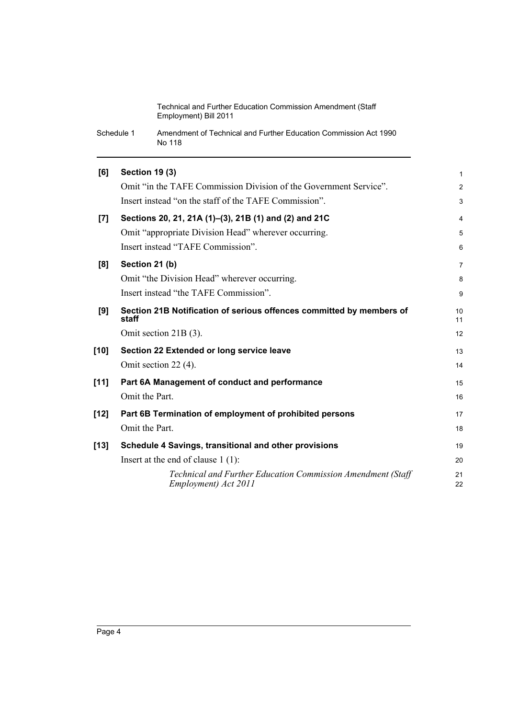Schedule 1 Amendment of Technical and Further Education Commission Act 1990 No 118

| [6]                | <b>Section 19 (3)</b>                                                               | 1              |
|--------------------|-------------------------------------------------------------------------------------|----------------|
|                    | Omit "in the TAFE Commission Division of the Government Service".                   | $\overline{c}$ |
|                    | Insert instead "on the staff of the TAFE Commission".                               | 3              |
| $\left[ 7 \right]$ | Sections 20, 21, 21A (1)–(3), 21B (1) and (2) and 21C                               | 4              |
|                    | Omit "appropriate Division Head" wherever occurring.                                | 5              |
|                    | Insert instead "TAFE Commission".                                                   | 6              |
| [8]                | Section 21 (b)                                                                      | 7              |
|                    | Omit "the Division Head" wherever occurring.                                        | 8              |
|                    | Insert instead "the TAFE Commission".                                               | 9              |
| [9]                | Section 21B Notification of serious offences committed by members of<br>staff       | 10<br>11       |
|                    | Omit section 21B (3).                                                               | 12             |
| $[10]$             | Section 22 Extended or long service leave                                           | 13             |
|                    | Omit section 22 (4).                                                                | 14             |
| [11]               | Part 6A Management of conduct and performance                                       | 15             |
|                    | Omit the Part.                                                                      | 16             |
| $[12]$             | Part 6B Termination of employment of prohibited persons                             | 17             |
|                    | Omit the Part.                                                                      | 18             |
| $[13]$             | Schedule 4 Savings, transitional and other provisions                               | 19             |
|                    | Insert at the end of clause $1(1)$ :                                                | 20             |
|                    | Technical and Further Education Commission Amendment (Staff<br>Employment) Act 2011 | 21<br>22       |
|                    |                                                                                     |                |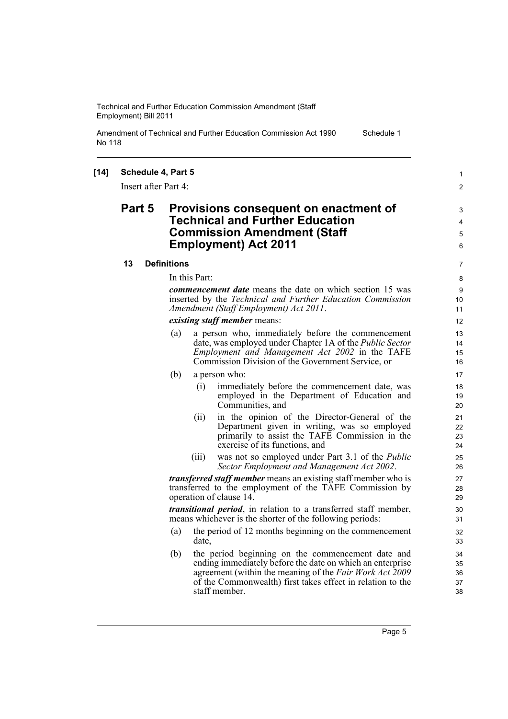Amendment of Technical and Further Education Commission Act 1990 No 118

#### **[14] Schedule 4, Part 5**

Insert after Part 4:

### **Part 5 Provisions consequent on enactment of Technical and Further Education Commission Amendment (Staff Employment) Act 2011**

5 6 7

1  $\mathfrak{p}$ 

3 4

Schedule 1

#### **13 Definitions**

In this Part:

*commencement date* means the date on which section 15 was inserted by the *Technical and Further Education Commission Amendment (Staff Employment) Act 2011*.

*existing staff member* means:

- (a) a person who, immediately before the commencement date, was employed under Chapter 1A of the *Public Sector Employment and Management Act 2002* in the TAFE Commission Division of the Government Service, or
- (b) a person who:
	- (i) immediately before the commencement date, was employed in the Department of Education and Communities, and
	- (ii) in the opinion of the Director-General of the Department given in writing, was so employed primarily to assist the TAFE Commission in the exercise of its functions, and
	- (iii) was not so employed under Part 3.1 of the *Public Sector Employment and Management Act 2002*.

*transferred staff member* means an existing staff member who is transferred to the employment of the TAFE Commission by operation of clause 14.

*transitional period*, in relation to a transferred staff member, means whichever is the shorter of the following periods:

- (a) the period of 12 months beginning on the commencement date,
- (b) the period beginning on the commencement date and ending immediately before the date on which an enterprise agreement (within the meaning of the *Fair Work Act 2009* of the Commonwealth) first takes effect in relation to the staff member.

Page 5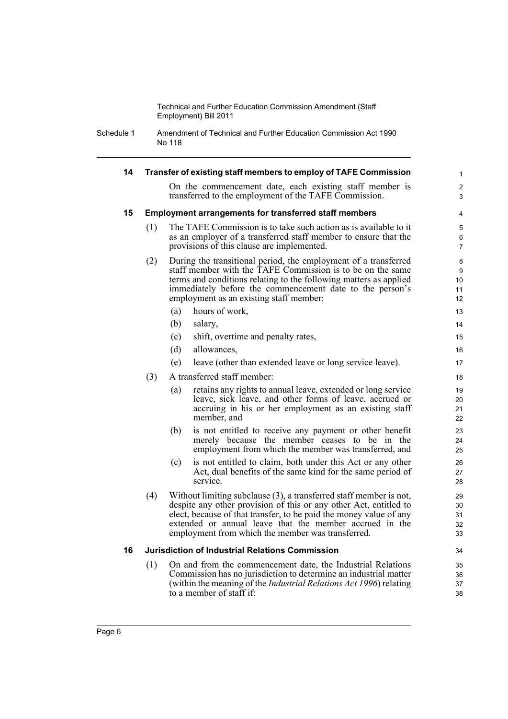Schedule 1 Amendment of Technical and Further Education Commission Act 1990 No 118

| 14 |     | Transfer of existing staff members to employ of TAFE Commission                                                                                                                                                                                                                                                               | $\mathbf{1}$                                       |
|----|-----|-------------------------------------------------------------------------------------------------------------------------------------------------------------------------------------------------------------------------------------------------------------------------------------------------------------------------------|----------------------------------------------------|
|    |     | On the commencement date, each existing staff member is<br>transferred to the employment of the TAFE Commission.                                                                                                                                                                                                              | 2<br>3                                             |
| 15 |     | <b>Employment arrangements for transferred staff members</b>                                                                                                                                                                                                                                                                  | 4                                                  |
|    | (1) | The TAFE Commission is to take such action as is available to it<br>as an employer of a transferred staff member to ensure that the<br>provisions of this clause are implemented.                                                                                                                                             | 5<br>6<br>$\overline{7}$                           |
|    | (2) | During the transitional period, the employment of a transferred<br>staff member with the TAFE Commission is to be on the same<br>terms and conditions relating to the following matters as applied<br>immediately before the commencement date to the person's<br>employment as an existing staff member:                     | 8<br>9<br>10 <sup>°</sup><br>11<br>12 <sup>2</sup> |
|    |     | hours of work,<br>(a)                                                                                                                                                                                                                                                                                                         | 13                                                 |
|    |     | (b)<br>salary,                                                                                                                                                                                                                                                                                                                | 14                                                 |
|    |     | (c)<br>shift, overtime and penalty rates,                                                                                                                                                                                                                                                                                     | 15                                                 |
|    |     | (d)<br>allowances,                                                                                                                                                                                                                                                                                                            | 16                                                 |
|    |     | leave (other than extended leave or long service leave).<br>(e)                                                                                                                                                                                                                                                               | 17                                                 |
|    | (3) | A transferred staff member:                                                                                                                                                                                                                                                                                                   | 18                                                 |
|    |     | retains any rights to annual leave, extended or long service<br>(a)<br>leave, sick leave, and other forms of leave, accrued or<br>accruing in his or her employment as an existing staff<br>member, and                                                                                                                       | 19<br>20<br>21<br>22                               |
|    |     | (b)<br>is not entitled to receive any payment or other benefit<br>merely because the member ceases to be in the<br>employment from which the member was transferred, and                                                                                                                                                      | 23<br>24<br>25                                     |
|    |     | is not entitled to claim, both under this Act or any other<br>(c)<br>Act, dual benefits of the same kind for the same period of<br>service.                                                                                                                                                                                   | 26<br>27<br>28                                     |
|    | (4) | Without limiting subclause (3), a transferred staff member is not,<br>despite any other provision of this or any other Act, entitled to<br>elect, because of that transfer, to be paid the money value of any<br>extended or annual leave that the member accrued in the<br>employment from which the member was transferred. | 29<br>30<br>31<br>32<br>33                         |
| 16 |     | <b>Jurisdiction of Industrial Relations Commission</b>                                                                                                                                                                                                                                                                        | 34                                                 |
|    | (1) | On and from the commencement date, the Industrial Relations<br>Commission has no jurisdiction to determine an industrial matter<br>(within the meaning of the <i>Industrial Relations Act 1996</i> ) relating<br>to a member of staff if:                                                                                     | 35<br>36<br>37<br>38                               |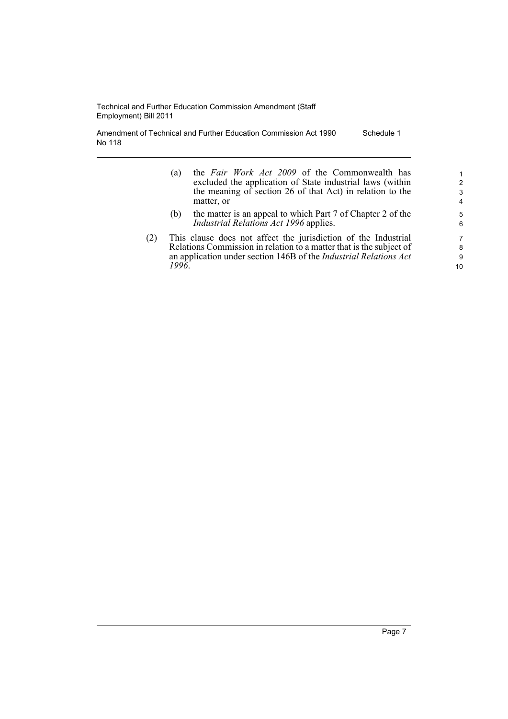Amendment of Technical and Further Education Commission Act 1990 No 118 Schedule 1

- (a) the *Fair Work Act 2009* of the Commonwealth has excluded the application of State industrial laws (within the meaning of section 26 of that Act) in relation to the matter, or
- (b) the matter is an appeal to which Part 7 of Chapter 2 of the *Industrial Relations Act 1996* applies.
- (2) This clause does not affect the jurisdiction of the Industrial Relations Commission in relation to a matter that is the subject of an application under section 146B of the *Industrial Relations Act 1996*.

10

1